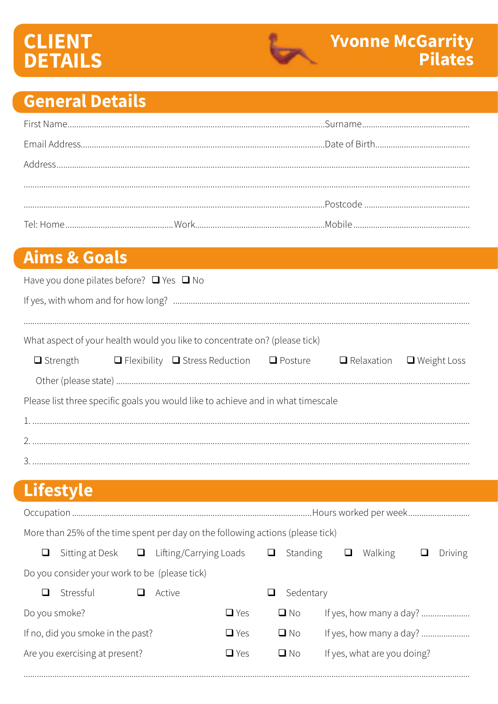# **CLIENT<br>DETAILS**



## **General Details**

### **Aims & Goals**

| Have you done pilates before? $\Box$ Yes $\Box$ No                               |  |                                                                                                                |  |  |  |  |  |
|----------------------------------------------------------------------------------|--|----------------------------------------------------------------------------------------------------------------|--|--|--|--|--|
|                                                                                  |  |                                                                                                                |  |  |  |  |  |
|                                                                                  |  |                                                                                                                |  |  |  |  |  |
| What aspect of your health would you like to concentrate on? (please tick)       |  |                                                                                                                |  |  |  |  |  |
|                                                                                  |  | $\Box$ Strength $\Box$ Flexibility $\Box$ Stress Reduction $\Box$ Posture $\Box$ Relaxation $\Box$ Weight Loss |  |  |  |  |  |
|                                                                                  |  |                                                                                                                |  |  |  |  |  |
| Please list three specific goals you would like to achieve and in what timescale |  |                                                                                                                |  |  |  |  |  |
|                                                                                  |  |                                                                                                                |  |  |  |  |  |
|                                                                                  |  |                                                                                                                |  |  |  |  |  |
|                                                                                  |  |                                                                                                                |  |  |  |  |  |

# Lifestyle

| More than 25% of the time spent per day on the following actions (please tick) |                                   |   |                        |            |   |           |  |                             |         |
|--------------------------------------------------------------------------------|-----------------------------------|---|------------------------|------------|---|-----------|--|-----------------------------|---------|
| ⊔                                                                              | Sitting at Desk                   | ⊔ | Lifting/Carrying Loads |            | ⊔ | Standing  |  | Walking                     | Driving |
| Do you consider your work to be (please tick)                                  |                                   |   |                        |            |   |           |  |                             |         |
| l I                                                                            | Stressful                         |   | Active                 |            | ⊔ | Sedentary |  |                             |         |
| Do you smoke?                                                                  |                                   |   |                        | $\Box$ Yes |   | $\Box$ No |  | If yes, how many a day?     |         |
|                                                                                | If no, did you smoke in the past? |   |                        | $\Box$ Yes |   | $\Box$ No |  |                             |         |
|                                                                                | Are you exercising at present?    |   |                        | $\Box$ Yes |   | $\Box$ No |  | If yes, what are you doing? |         |
|                                                                                |                                   |   |                        |            |   |           |  |                             |         |